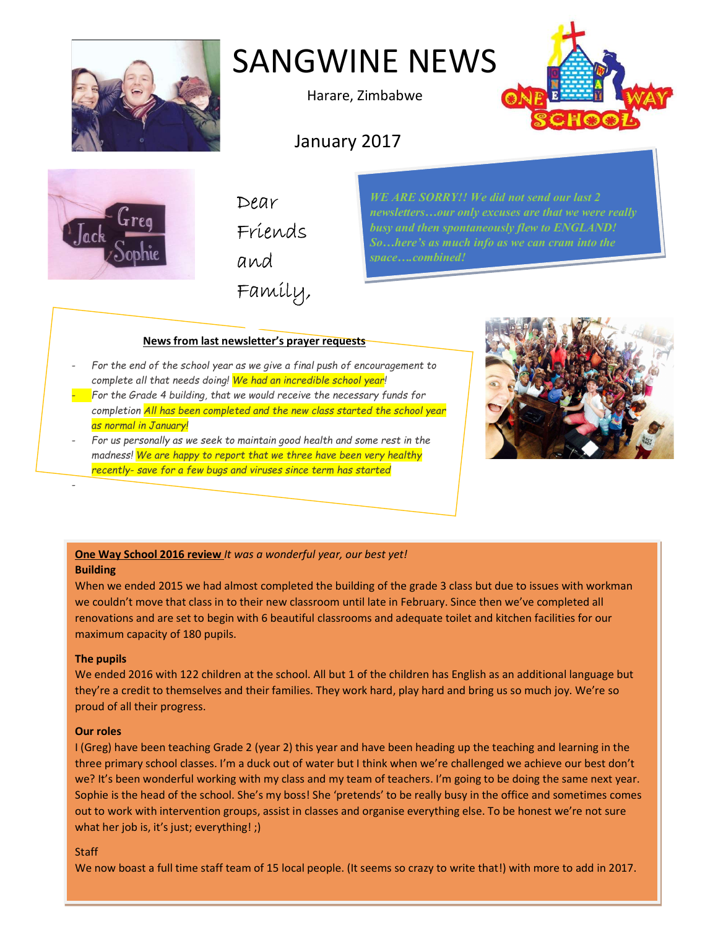

# SANGWINE NEWS

Harare, Zimbabwe

January 2017





Dear Friends and Family, WE ARE SORRY!! We did not send our last 2 busy and then spontaneously flew to ENGLAND!

## News from last newsletter's prayer requests

- For the end of the school year as we give a final push of encouragement to complete all that needs doing! We had an incredible school year!
- $\blacksquare$  For the Grade 4 building, that we would receive the necessary funds for completion All has been completed and the new class started the school year as normal in January!
- For us personally as we seek to maintain good health and some rest in the madness! We are happy to report that we three have been very healthy recently- save for a few bugs and viruses since term has started



## One Way School 2016 review It was a wonderful year, our best yet! Building

When we ended 2015 we had almost completed the building of the grade 3 class but due to issues with workman we couldn't move that class in to their new classroom until late in February. Since then we've completed all renovations and are set to begin with 6 beautiful classrooms and adequate toilet and kitchen facilities for our maximum capacity of 180 pupils.

## The pupils

-

We ended 2016 with 122 children at the school. All but 1 of the children has English as an additional language but they're a credit to themselves and their families. They work hard, play hard and bring us so much joy. We're so proud of all their progress.

## Our roles

I (Greg) have been teaching Grade 2 (year 2) this year and have been heading up the teaching and learning in the three primary school classes. I'm a duck out of water but I think when we're challenged we achieve our best don't we? It's been wonderful working with my class and my team of teachers. I'm going to be doing the same next year. Sophie is the head of the school. She's my boss! She 'pretends' to be really busy in the office and sometimes comes out to work with intervention groups, assist in classes and organise everything else. To be honest we're not sure what her job is, it's just; everything!;)

## **Staff**

We now boast a full time staff team of 15 local people. (It seems so crazy to write that!) with more to add in 2017.